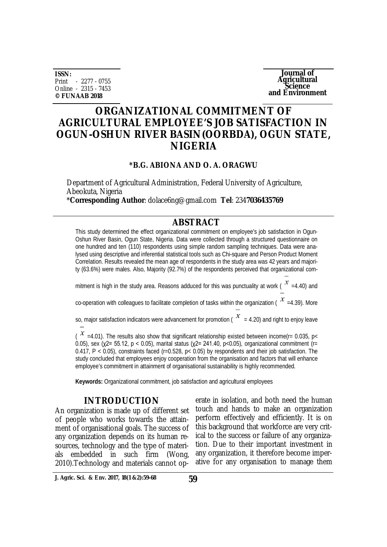**ISSN:** Print - 2277 - 0755 Online - 2315 - 7453 **© FUNAAB 2018**

**Journal of Agricultural Science and Environment**

# **ORGANIZATIONAL COMMITMENT OF AGRICULTURAL EMPLOYEE'S JOB SATISFACTION IN OGUN-OSHUN RIVER BASIN(OORBDA), OGUN STATE, NIGERIA**

#### **\*B.G. ABIONA AND O. A. ORAGWU**

Department of Agricultural Administration, Federal University of Agriculture, Abeokuta, Nigeria

\***Corresponding Author**: [dolace6ng@gmail.com](mailto:dolace6ng@gmail.com) **Tel**: 234**7036435769**

### **ABSTRACT**

This study determined the effect organizational commitment on employee's job satisfaction in Ogun-Oshun River Basin, Ogun State, Nigeria. Data were collected through a structured questionnaire on one hundred and ten (110) respondents using simple random sampling techniques. Data were analysed using descriptive and inferential statistical tools such as Chi-square and Person Product Moment Correlation. Results revealed the mean age of respondents in the study area was 42 years and majority (63.6%) were males. Also, Majority (92.7%) of the respondents perceived that organizational com-

mitment is high in the study area. Reasons adduced for this was punctuality at work ( $\chi^2$  =4.40) and

co-operation with colleagues to facilitate completion of tasks within the organization ( $\chi$  =4.39). More

so, major satisfaction indicators were advancement for promotion ( $\frac{x}{x}$  = 4.20) and right to enjoy leave

(  $x$  =4.01). The results also show that significant relationship existed between income(r= 0.035, p<  $0.05$ ), sex (χ2= 55.12, p < 0.05), marital status (χ2= 241.40, p < 0.05), organizational commitment (r= 0.417, P < 0.05), constraints faced (r=0.528, p< 0.05) by respondents and their job satisfaction. The study concluded that employees enjoy cooperation from the organisation and factors that will enhance employee's commitment in attainment of organisational sustainability is highly recommended.

**Keywords:** Organizational commitment, job satisfaction and agricultural employees

#### **INTRODUCTION**

An organization is made up of different set of people who works towards the attainment of organisational goals. The success of any organization depends on its human resources, technology and the type of materials embedded in such firm (Wong, 2010).Technology and materials cannot operate in isolation, and both need the human touch and hands to make an organization perform effectively and efficiently. It is on this background that workforce are very critical to the success or failure of any organization. Due to their important investment in any organization, it therefore become imperative for any organisation to manage them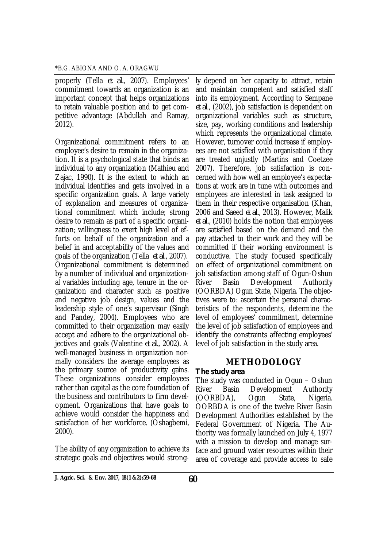properly (Tella *et al.*, 2007). Employees' commitment towards an organization is an important concept that helps organizations to retain valuable position and to get competitive advantage (Abdullah and Ramay, 2012).

Organizational commitment refers to an employee's desire to remain in the organization. It is a psychological state that binds an individual to any organization (Mathieu and Zajac, 1990). It is the extent to which an individual identifies and gets involved in a specific organization goals. A large variety of explanation and measures of organizational commitment which include; strong desire to remain as part of a specific organization; willingness to exert high level of efforts on behalf of the organization and a belief in and acceptability of the values and goals of the organization (Tella *et al*., 2007). Organizational commitment is determined by a number of individual and organizational variables including age, tenure in the organization and character such as positive and negative job design, values and the leadership style of one's supervisor (Singh and Pandey, 2004). Employees who are committed to their organization may easily accept and adhere to the organizational objectives and goals (Valentine *et al.*, 2002). A well-managed business in organization normally considers the average employees as the primary source of productivity gains. These organizations consider employees rather than capital as the core foundation of the business and contributors to firm development. Organizations that have goals to achieve would consider the happiness and satisfaction of her workforce. (Oshagbemi, 2000).

The ability of any organization to achieve its strategic goals and objectives would strongly depend on her capacity to attract, retain and maintain competent and satisfied staff into its employment. According to Sempane *et al*., (2002), job satisfaction is dependent on organizational variables such as structure, size, pay, working conditions and leadership which represents the organizational climate. However, turnover could increase if employees are not satisfied with organisation if they are treated unjustly (Martins and Coetzee 2007). Therefore, job satisfaction is concerned with how well an employee's expectations at work are in tune with outcomes and employees are interested in task assigned to them in their respective organisation (Khan, 2006 and Saeed *et al.,* 2013). However, Malik *et al.,* (2010) holds the notion that employees are satisfied based on the demand and the pay attached to their work and they will be committed if their working environment is conductive. The study focused specifically on effect of organizational commitment on job satisfaction among staff of Ogun-Oshun River Basin Development Authority (OORBDA) Ogun State, Nigeria. The objectives were to: ascertain the personal characteristics of the respondents, determine the level of employees' commitment, determine the level of job satisfaction of employees and identify the constraints affecting employees' level of job satisfaction in the study area.

## **METHODOLOGY**

### *The study area*

The study was conducted in Ogun – Oshun River Basin Development Authority (OORBDA), Ogun State, Nigeria. OORBDA is one of the twelve River Basin Development Authorities established by the Federal Government of Nigeria. The Authority was formally launched on July 4, 1977 with a mission to develop and manage surface and ground water resources within their area of coverage and provide access to safe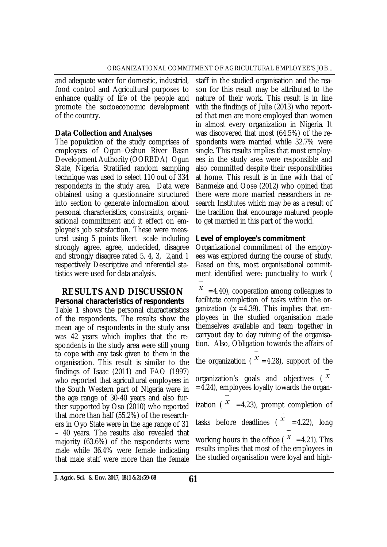and adequate water for domestic, industrial, food control and Agricultural purposes to enhance quality of life of the people and promote the socioeconomic development of the country.

### **Data Collection and Analyses**

The population of the study comprises of employees of Ogun–Oshun River Basin Development Authority (OORBDA) Ogun State, Nigeria. Stratified random sampling technique was used to select 110 out of 334 respondents in the study area. Data were obtained using a questionnaire structured into section to generate information about personal characteristics, constraints, organisational commitment and it effect on employee's job satisfaction. These were measured using 5 points likert scale including strongly agree, agree, undecided, disagree and strongly disagree rated 5, 4, 3, 2,and 1 respectively Descriptive and inferential statistics were used for data analysis.

### **RESULTS AND DISCUSSION** *Personal characteristics of respondents*

Table 1 shows the personal characteristics of the respondents. The results show the mean age of respondents in the study area was 42 years which implies that the respondents in the study area were still young to cope with any task given to them in the organisation. This result is similar to the findings of Isaac (2011) and FAO (1997) who reported that agricultural employees in the South Western part of Nigeria were in the age range of 30-40 years and also further supported by Oso (2010) who reported that more than half (55.2%) of the researchers in Oyo State were in the age range of 31 – 40 years. The results also revealed that majority (63.6%) of the respondents were male while 36.4% were female indicating that male staff were more than the female

staff in the studied organisation and the reason for this result may be attributed to the nature of their work. This result is in line with the findings of Julie (2013) who reported that men are more employed than women in almost every organization in Nigeria. It was discovered that most (64.5%) of the respondents were married while 32.7% were single. This results implies that most employees in the study area were responsible and also committed despite their responsibilities at home. This result is in line with that of Banmeke and Oose (2012) who opined that there were more married researchers in research Institutes which may be as a result of the tradition that encourage matured people to get married in this part of the world.

## *Level of employee's commitment*

Organizational commitment of the employees was explored during the course of study. Based on this, most organisational commitment identified were: punctuality to work (

=4.40), cooperation among colleagues to facilitate completion of tasks within the organization  $(x = 4.39)$ . This implies that employees in the studied organisation made themselves available and team together in carryout day to day ruining of the organisation. Also, Obligation towards the affairs of

the organization ( $x = 4.28$ ), support of the organization's goals and objectives  $\binom{x}{x}$  $=4.24$ ), employees loyalty towards the organization ( $x = 4.23$ ), prompt completion of tasks before deadlines ( $x = 4.22$ ), long working hours in the office ( $x = 4.21$ ). This results implies that most of the employees in the studied organisation were loyal and high-

**61 J. Agric. Sci. & Env. 2017, 18(1 &2):59-68**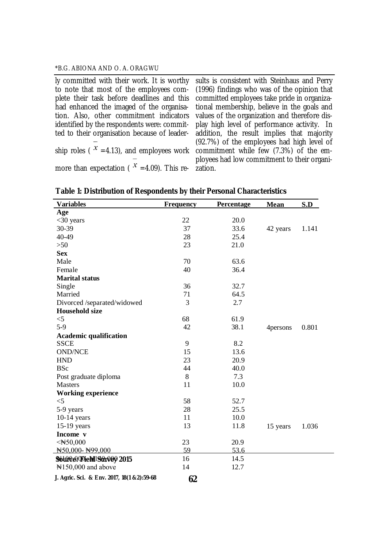ly committed with their work. It is worthy to note that most of the employees complete their task before deadlines and this had enhanced the imaged of the organisation. Also, other commitment indicators identified by the respondents were: committed to their organisation because of leadership roles (  $^{\star}$  =4.13), and employees work  $\,$  commitment while few (7.3%) of the emmore than expectation ( $x = 4.09$ ). This results is consistent with Steinhaus and Perry (1996) findings who was of the opinion that committed employees take pride in organizational membership, believe in the goals and values of the organization and therefore display high level of performance activity. In addition, the result implies that majority (92.7%) of the employees had high level of ployees had low commitment to their organization.

| <b>Variables</b>                           | <b>Frequency</b> | Percentage | <b>Mean</b> | S.D   |
|--------------------------------------------|------------------|------------|-------------|-------|
| Age                                        |                  |            |             |       |
| $<$ 30 years                               | 22               | 20.0       |             |       |
| 30-39                                      | 37               | 33.6       | 42 years    | 1.141 |
| 40-49                                      | 28               | 25.4       |             |       |
| $>50$                                      | 23               | 21.0       |             |       |
| <b>Sex</b>                                 |                  |            |             |       |
| Male                                       | 70               | 63.6       |             |       |
| Female                                     | 40               | 36.4       |             |       |
| <b>Marital status</b>                      |                  |            |             |       |
| Single                                     | 36               | 32.7       |             |       |
| Married                                    | 71               | 64.5       |             |       |
| Divorced /separated/widowed                | 3                | 2.7        |             |       |
| <b>Household size</b>                      |                  |            |             |       |
| $<$ 5                                      | 68               | 61.9       |             |       |
| $5-9$                                      | 42               | 38.1       | 4 persons   | 0.801 |
| <b>Academic qualification</b>              |                  |            |             |       |
| <b>SSCE</b>                                | 9                | 8.2        |             |       |
| <b>OND/NCE</b>                             | 15               | 13.6       |             |       |
| <b>HND</b>                                 | 23               | 20.9       |             |       |
| <b>BSc</b>                                 | 44               | 40.0       |             |       |
| Post graduate diploma                      | 8                | 7.3        |             |       |
| <b>Masters</b>                             | 11               | 10.0       |             |       |
| <b>Working experience</b>                  |                  |            |             |       |
| $<$ 5                                      | 58               | 52.7       |             |       |
| 5-9 years                                  | 28               | 25.5       |             |       |
| $10-14$ years                              | 11               | 10.0       |             |       |
| $15-19$ years                              | 13               | 11.8       | 15 years    | 1.036 |
| Income v                                   |                  |            |             |       |
| $\leq$ N $50,000$                          | 23               | 20.9       |             |       |
| N50.000-N99.000                            | 59               | 53.6       |             |       |
| Solingen (Field 199r000 2015               | 16               | 14.5       |             |       |
| $\mathbb{N}150,000$ and above              | 14               | 12.7       |             |       |
| J. Agric. Sci. & Env. 2017, 18(1 &2):59-68 | 62               |            |             |       |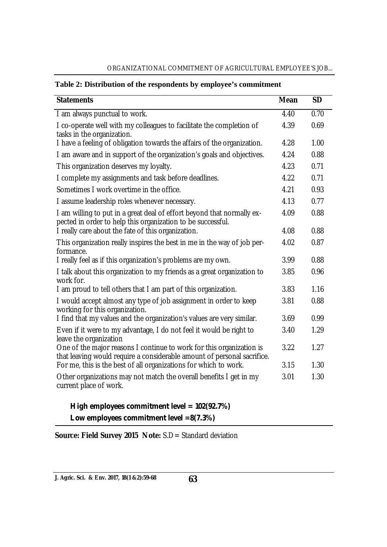| <b>Statements</b>                                                                                                                               | <b>Mean</b> | <b>SD</b> |
|-------------------------------------------------------------------------------------------------------------------------------------------------|-------------|-----------|
| I am always punctual to work.                                                                                                                   | 4.40        | 0.70      |
| I co-operate well with my colleagues to facilitate the completion of<br>tasks in the organization.                                              | 4.39        | 0.69      |
| I have a feeling of obligation towards the affairs of the organization.                                                                         | 4.28        | 1.00      |
| I am aware and in support of the organization's goals and objectives.                                                                           | 4.24        | 0.88      |
| This organization deserves my loyalty.                                                                                                          | 4.23        | 0.71      |
| I complete my assignments and task before deadlines.                                                                                            | 4.22        | 0.71      |
| Sometimes I work overtime in the office.                                                                                                        | 4.21        | 0.93      |
| I assume leadership roles whenever necessary.                                                                                                   | 4.13        | 0.77      |
| I am willing to put in a great deal of effort beyond that normally ex-<br>pected in order to help this organization to be successful.           | 4.09        | 0.88      |
| I really care about the fate of this organization.                                                                                              | 4.08        | 0.88      |
| This organization really inspires the best in me in the way of job per-<br>formance.                                                            | 4.02        | 0.87      |
| I really feel as if this organization's problems are my own.                                                                                    | 3.99        | 0.88      |
| I talk about this organization to my friends as a great organization to<br>work for.                                                            | 3.85        | 0.96      |
| I am proud to tell others that I am part of this organization.                                                                                  | 3.83        | 1.16      |
| I would accept almost any type of job assignment in order to keep<br>working for this organization.                                             | 3.81        | 0.88      |
| I find that my values and the organization's values are very similar.                                                                           | 3.69        | 0.99      |
| Even if it were to my advantage, I do not feel it would be right to<br>leave the organization                                                   | 3.40        | 1.29      |
| One of the major reasons I continue to work for this organization is<br>that leaving would require a considerable amount of personal sacrifice. | 3.22        | 1.27      |
| For me, this is the best of all organizations for which to work.                                                                                | 3.15        | 1.30      |
| Other organizations may not match the overall benefits I get in my<br>current place of work.                                                    | 3.01        | 1.30      |

#### ORGANIZATIONAL COMMITMENT OF AGRICULTURAL EMPLOYEE'S JOB...

## **Table 2: Distribution of the respondents by employee's commitment**

 *High employees commitment level = 102(92.7%) Low employees commitment level =8(7.3%)*

**Source: Field Survey 2015 Note:** S.D= Standard deviation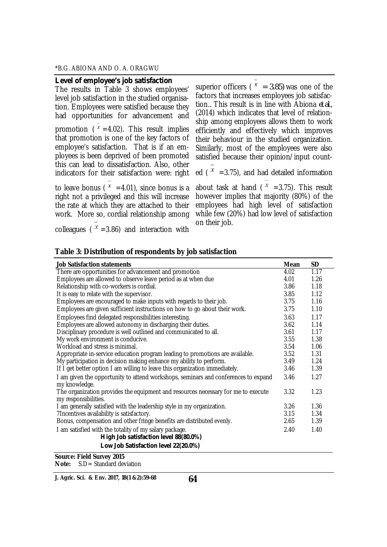| Level of employee's job satisfaction                                                                                                                                                                                                                                                                                     | superior officers ( $x = 3.85$ ) was one of the                                                                                                                                               |
|--------------------------------------------------------------------------------------------------------------------------------------------------------------------------------------------------------------------------------------------------------------------------------------------------------------------------|-----------------------------------------------------------------------------------------------------------------------------------------------------------------------------------------------|
| The results in Table 3 shows employees'                                                                                                                                                                                                                                                                                  | factors that increases employees job satisfac-                                                                                                                                                |
| level job satisfaction in the studied organisa-                                                                                                                                                                                                                                                                          | tion This result is in line with Abiona et al.,                                                                                                                                               |
| tion. Employees were satisfied because they                                                                                                                                                                                                                                                                              | (2014) which indicates that level of relation-                                                                                                                                                |
| had opportunities for advancement and                                                                                                                                                                                                                                                                                    | ship among employees allows them to work                                                                                                                                                      |
| promotion ( $x = 4.02$ ). This result implies                                                                                                                                                                                                                                                                            | efficiently and effectively which improves                                                                                                                                                    |
| that promotion is one of the key factors of<br>employee's satisfaction. That is if an em-<br>ployees is been deprived of been promoted<br>this can lead to dissatisfaction. Also, other<br>indicators for their satisfaction were: right                                                                                 | their behaviour in the studied organization.<br>Similarly, most of the employees were also<br>satisfied because their opinion/input count-<br>ed ( $x = 3.75$ ), and had detailed information |
| to leave bonus ( $x = 4.01$ ), since bonus is a                                                                                                                                                                                                                                                                          | about task at hand ( $x = 3.75$ ). This result                                                                                                                                                |
| right not a privileged and this will increase                                                                                                                                                                                                                                                                            | however implies that majority (80%) of the                                                                                                                                                    |
| the rate at which they are attached to their                                                                                                                                                                                                                                                                             | employees had high level of satisfaction                                                                                                                                                      |
| work. More so, cordial relationship among                                                                                                                                                                                                                                                                                | while few (20%) had low level of satisfaction                                                                                                                                                 |
| $\mathcal{L}$ $\mathcal{L}$ and $\mathcal{L}$ and $\mathcal{L}$ and $\mathcal{L}$ and $\mathcal{L}$ and $\mathcal{L}$ and $\mathcal{L}$ and $\mathcal{L}$ and $\mathcal{L}$ and $\mathcal{L}$ and $\mathcal{L}$ and $\mathcal{L}$ and $\mathcal{L}$ and $\mathcal{L}$ and $\mathcal{L}$ and $\mathcal{L}$ and $\mathcal$ | on their job.                                                                                                                                                                                 |

colleagues (  $^x$  =3.86) and interaction with

| Table 3: Distribution of respondents by job satisfaction |
|----------------------------------------------------------|
|----------------------------------------------------------|

| <b>Job Satisfaction statements</b>                                                                        | <b>Mean</b> | <b>SD</b> |
|-----------------------------------------------------------------------------------------------------------|-------------|-----------|
| There are opportunities for advancement and promotion                                                     | 4.02        | 1.17      |
| Employees are allowed to observe leave period as at when due                                              |             | 1.26      |
| Relationship with co-workers is cordial.                                                                  | 3.86        | 1.18      |
| It is easy to relate with the supervisor.                                                                 | 3.85        | 1.12      |
| Employees are encouraged to make inputs with regards to their job.                                        | 3.75        | 1.16      |
| Employees are given sufficient instructions on how to go about their work.                                | 3.75        | 1.10      |
| Employees find delegated responsibilities interesting.                                                    | 3.63        | 1.17      |
| Employees are allowed autonomy in discharging their duties.                                               | 3.62        | 1.14      |
| Disciplinary procedure is well outlined and communicated to all.                                          | 3.61        | 1.17      |
| My work environment is conducive.                                                                         | 3.55        | 1.38      |
| Workload and stress is minimal.                                                                           | 3.54        | 1.06      |
| Appropriate in-service education program leading to promotions are available.                             | 3.52        | 1.31      |
| My participation in decision making enhance my ability to perform.                                        | 3.49        | 1.24      |
| If I get better option I am willing to leave this organization immediately.                               | 3.46        | 1.39      |
| I am given the opportunity to attend workshops, seminars and conferences to expand<br>my knowledge.       | 3.46        | 1.27      |
| The organization provides the equipment and resources necessary for me to execute<br>my responsibilities. | 3.32        | 1.23      |
| I am generally satisfied with the leadership style in my organization.                                    | 3.26        | 1.36      |
| 7Incentives availability is satisfactory.                                                                 |             | 1.34      |
| Bonus, compensation and other fringe benefits are distributed evenly.                                     | 2.65        | 1.39      |
| I am satisfied with the totality of my salary package.<br>High Job satisfaction level 88(80.0%)           | 2.40        | 1.40      |
| Low Job Satisfaction level 22(20.0%)                                                                      |             |           |
| Source: Field Survey 2015                                                                                 |             |           |
| S.D = Standard deviation<br>Note:                                                                         |             |           |

**64 J. Agric. Sci. & Env. 2017, 18(1 &2):59-68**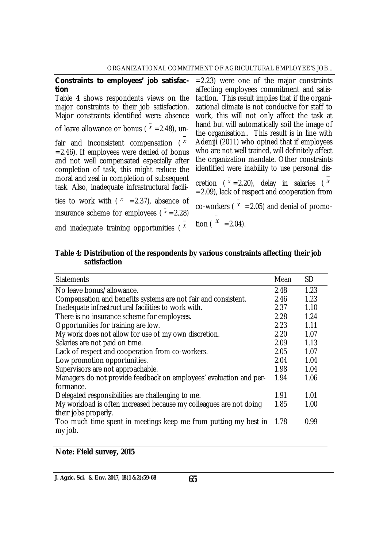| Constraints to employees' job satisfac-<br>tion<br>Table 4 shows respondents views on the<br>major constraints to their job satisfaction.<br>Major constraints identified were: absence<br>of leave allowance or bonus ( $x = 2.48$ ), un-<br>fair and inconsistent compensation $(x^x)$<br>$=$ 2.46). If employees were denied of bonus<br>and not well compensated especially after<br>completion of task, this might reduce the<br>moral and zeal in completion of subsequent<br>task. Also, inadequate infrastructural facili-<br>ties to work with ( $x = 2.37$ ), absence of<br>insurance scheme for employees ( $x = 2.28$ ) | $=$ 2.23) were one of the major constraints<br>affecting employees commitment and satis-<br>faction. This result implies that if the organi-<br>zational climate is not conducive for staff to<br>work, this will not only affect the task at<br>hand but will automatically soil the image of<br>the organisation This result is in line with<br>Adeniji (2011) who opined that if employees<br>who are not well trained, will definitely affect<br>the organization mandate. Other constraints<br>identified were inability to use personal dis-<br>cretion ( $x = 2.20$ ), delay in salaries ( $x = 2.20$ )<br>$=$ 2.09), lack of respect and cooperation from<br>co-workers ( $x = 2.05$ ) and denial of promo- |
|-------------------------------------------------------------------------------------------------------------------------------------------------------------------------------------------------------------------------------------------------------------------------------------------------------------------------------------------------------------------------------------------------------------------------------------------------------------------------------------------------------------------------------------------------------------------------------------------------------------------------------------|---------------------------------------------------------------------------------------------------------------------------------------------------------------------------------------------------------------------------------------------------------------------------------------------------------------------------------------------------------------------------------------------------------------------------------------------------------------------------------------------------------------------------------------------------------------------------------------------------------------------------------------------------------------------------------------------------------------------|
| and inadequate training opportunities ( $x$                                                                                                                                                                                                                                                                                                                                                                                                                                                                                                                                                                                         | tion ( $x = 2.04$ ).                                                                                                                                                                                                                                                                                                                                                                                                                                                                                                                                                                                                                                                                                                |
|                                                                                                                                                                                                                                                                                                                                                                                                                                                                                                                                                                                                                                     |                                                                                                                                                                                                                                                                                                                                                                                                                                                                                                                                                                                                                                                                                                                     |

|              | Table 4: Distribution of the respondents by various constraints affecting their job |
|--------------|-------------------------------------------------------------------------------------|
| satisfaction |                                                                                     |

| <b>Statements</b>                                                  | Mean | SD.  |
|--------------------------------------------------------------------|------|------|
| No leave bonus/allowance.                                          | 2.48 | 1.23 |
| Compensation and benefits systems are not fair and consistent.     | 2.46 | 1.23 |
| Inadequate infrastructural facilities to work with.                | 2.37 | 1.10 |
| There is no insurance scheme for employees.                        | 2.28 | 1.24 |
| Opportunities for training are low.                                | 2.23 | 1.11 |
| My work does not allow for use of my own discretion.               | 2.20 | 1.07 |
| Salaries are not paid on time.                                     | 2.09 | 1.13 |
| Lack of respect and cooperation from co-workers.                   | 2.05 | 1.07 |
| Low promotion opportunities.                                       | 2.04 | 1.04 |
| Supervisors are not approachable.                                  | 1.98 | 1.04 |
| Managers do not provide feedback on employees' evaluation and per- | 1.94 | 1.06 |
| formance.                                                          |      |      |
| Delegated responsibilities are challenging to me.                  | 1.91 | 1.01 |
| My workload is often increased because my colleagues are not doing | 1.85 | 1.00 |
| their jobs properly.                                               |      |      |
| Too much time spent in meetings keep me from putting my best in    | 1.78 | 0.99 |
| my job.                                                            |      |      |

**Note: Field survey, 2015**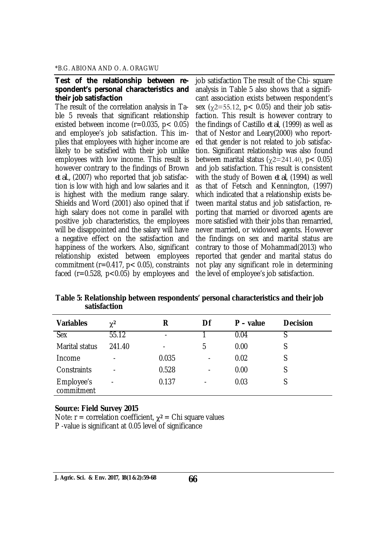#### *Test of the relationship between respondent's personal characteristics and their job satisfaction*

The result of the correlation analysis in Table 5 reveals that significant relationship existed between income  $(r=0.035, p< 0.05)$ and employee's job satisfaction. This implies that employees with higher income are likely to be satisfied with their job unlike employees with low income. This result is however contrary to the findings of Brown *et al.,* (2007) who reported that job satisfaction is low with high and low salaries and it is highest with the medium range salary. Shields and Word (2001) also opined that if high salary does not come in parallel with positive job characteristics, the employees will be disappointed and the salary will have a negative effect on the satisfaction and happiness of the workers. Also, significant relationship existed between employees commitment (r=0.417, p< 0.05), constraints faced ( $r=0.528$ ,  $p<0.05$ ) by employees and

job satisfaction The result of the Chi- square analysis in Table 5 also shows that a significant association exists between respondent's sex  $(y2=55.12, p< 0.05)$  and their job satisfaction. This result is however contrary to the findings of Castillo *et al*, (1999) as well as that of Nestor and Leary(2000) who reported that gender is not related to job satisfaction. Significant relationship was also found between marital status ( $\chi$ 2=241.40, p< 0.05) and job satisfaction. This result is consistent with the study of Bowen *et al*, (1994) as well as that of Fetsch and Kennington, (1997) which indicated that a relationship exists between marital status and job satisfaction, reporting that married or divorced agents are more satisfied with their jobs than remarried, never married, or widowed agents. However the findings on sex and marital status are contrary to those of Mohammad(2013) who reported that gender and marital status do not play any significant role in determining the level of employee's job satisfaction.

| <b>Variables</b>         | $\chi^2$                 | R                        | Df             | $P - value$ | <b>Decision</b> |
|--------------------------|--------------------------|--------------------------|----------------|-------------|-----------------|
| <b>Sex</b>               | 55.12                    | $\overline{\phantom{0}}$ |                | 0.04        |                 |
| Marital status           | 241.40                   |                          | 5              | 0.00        |                 |
| Income                   | $\overline{\phantom{a}}$ | 0.035                    | -              | 0.02        |                 |
| Constraints              | $\overline{\phantom{a}}$ | 0.528                    | $\blacksquare$ | 0.00        | S               |
| Employee's<br>commitment | $\overline{\phantom{0}}$ | 0.137                    |                | 0.03        |                 |

**Table 5: Relationship between respondents' personal characteristics and their job satisfaction**

#### **Source: Field Survey 2015**

Note:  $r =$  correlation coefficient,  $\gamma^2 =$  Chi square values P -value is significant at 0.05 level of significance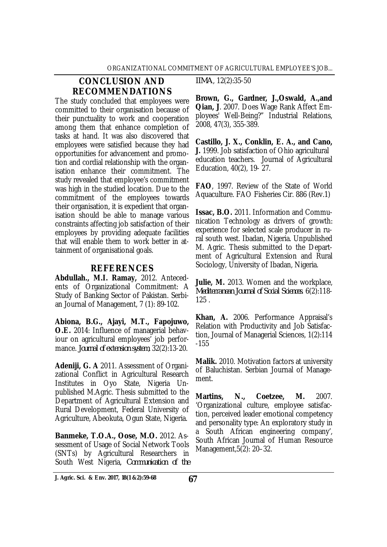## **CONCLUSION AND RECOMMENDATIONS**

The study concluded that employees were committed to their organisation because of their punctuality to work and cooperation among them that enhance completion of tasks at hand. It was also discovered that employees were satisfied because they had opportunities for advancement and promotion and cordial relationship with the organisation enhance their commitment. The study revealed that employee's commitment was high in the studied location. Due to the commitment of the employees towards their organisation, it is expedient that organisation should be able to manage various constraints affecting job satisfaction of their employees by providing adequate facilities that will enable them to work better in attainment of organisational goals.

## **REFERENCES**

**Abdullah., M.I. Ramay,** 2012. Antecedents of Organizational Commitment: A Study of Banking Sector of Pakistan. Serbian Journal of Management, 7 (1): 89-102.

**Abiona, B.G., Ajayi, M.T., Fapojuwo, O.E.** 2014: Influence of managerial behaviour on agricultural employees' job performance. *Journal of extension system*, 32(2):13-20.

**Adeniji, G. A** 2011. Assessment of Organizational Conflict in Agricultural Research Institutes in Oyo State, Nigeria Unpublished M.Agric. Thesis submitted to the Department of Agricultural Extension and Rural Development, Federal University of Agriculture, Abeokuta, Ogun State, Nigeria.

**Banmeke, T.O.A., Oose, M.O.** 2012. Assessment of Usage of Social Network Tools (SNTs) by Agricultural Researchers in South West Nigeria, *Communication of the*  *IIMA*, 12(2):35-50

**Brown, G., Gardner, J.,Oswald, A.,and Qian, J**. 2007. Does Wage Rank Affect Employees' Well-Being?" Industrial Relations, 2008, 47(3), 355-389.

**Castillo, J. X., Conklin, E. A., and Cano, J.** 1999. Job satisfaction of Ohio agricultural education teachers. Journal of Agricultural Education, 40(2), 19- 27.

**FAO**, 1997. Review of the State of World Aquaculture. FAO Fisheries Cir. 886 (Rev.1)

**Issac, B.O.** 2011. Information and Communication Technology as drivers of growth: experience for selected scale producer in rural south west. Ibadan, Nigeria. Unpublished M. Agric. Thesis submitted to the Department of Agricultural Extension and Rural Sociology, University of Ibadan, Nigeria.

**Julie, M.** 2013. Women and the workplace, *Mediterranean Journal of Social Sciences*. 6(2):118- 125 .

**Khan, A.** 2006. Performance Appraisal's Relation with Productivity and Job Satisfaction, Journal of Managerial Sciences, 1(2):114 -155

**Malik.** 2010. Motivation factors at university of Baluchistan. Serbian Journal of Management.

**Martins, N., Coetzee, M.** 2007. 'Organizational culture, employee satisfaction, perceived leader emotional competency and personality type: An exploratory study in a South African engineering company', South African Journal of Human Resource Management,5(2): 20–32.

**67 J. Agric. Sci. & Env. 2017, 18(1 &2):59-68**